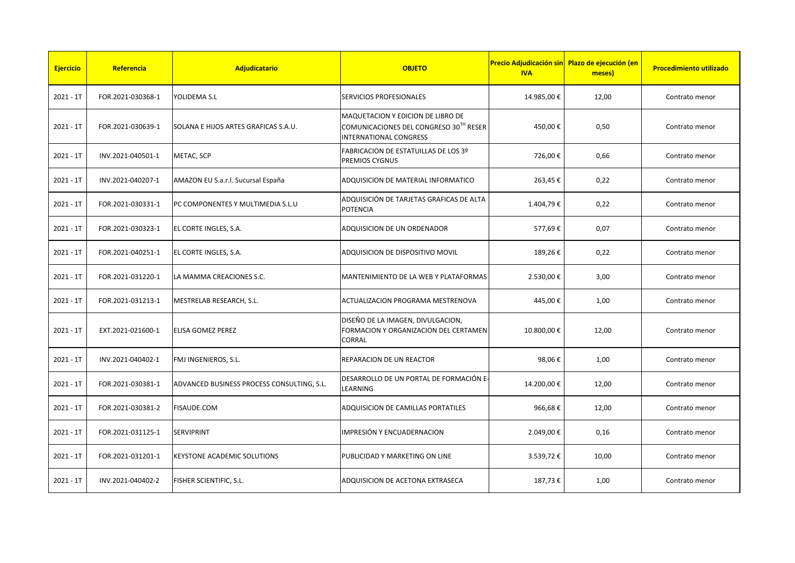| <b>Ejercicio</b> | Referencia        | <b>Adjudicatario</b>                       | <b>OBJETO</b>                                                                                                | <b>IVA</b> | Precio Adjudicación sin Plazo de ejecución (en<br>meses) | <b>Procedimiento utilizado</b> |
|------------------|-------------------|--------------------------------------------|--------------------------------------------------------------------------------------------------------------|------------|----------------------------------------------------------|--------------------------------|
| $2021 - 1T$      | FOR.2021-030368-1 | YOLIDEMA S.L                               | SERVICIOS PROFESIONALES                                                                                      | 14.985,00€ | 12,00                                                    | Contrato menor                 |
| $2021 - 1T$      | FOR.2021-030639-1 | SOLANA E HIJOS ARTES GRAFICAS S.A.U.       | MAQUETACION Y EDICION DE LIBRO DE<br>COMUNICACIONES DEL CONGRESO 30TH RESER<br><b>INTERNATIONAL CONGRESS</b> | 450,00€    | 0,50                                                     | Contrato menor                 |
| $2021 - 1T$      | INV.2021-040501-1 | METAC, SCP                                 | FABRICACION DE ESTATUILLAS DE LOS 3º<br>PREMIOS CYGNUS                                                       | 726,00€    | 0,66                                                     | Contrato menor                 |
| $2021 - 1T$      | INV.2021-040207-1 | AMAZON EU S.a.r.l. Sucursal España         | ADQUISICION DE MATERIAL INFORMATICO                                                                          | 263,45€    | 0,22                                                     | Contrato menor                 |
| $2021 - 1T$      | FOR.2021-030331-1 | PC COMPONENTES Y MULTIMEDIA S.L.U          | ADQUISICIÓN DE TARJETAS GRAFICAS DE ALTA<br>POTENCIA                                                         | 1.404,79€  | 0,22                                                     | Contrato menor                 |
| $2021 - 1T$      | FOR.2021-030323-1 | EL CORTE INGLES, S.A.                      | ADQUISICION DE UN ORDENADOR                                                                                  | 577,69€    | 0,07                                                     | Contrato menor                 |
| $2021 - 1T$      | FOR.2021-040251-1 | EL CORTE INGLES, S.A.                      | ADQUISICION DE DISPOSITIVO MOVIL                                                                             | 189,26€    | 0,22                                                     | Contrato menor                 |
| $2021 - 1T$      | FOR.2021-031220-1 | LA MAMMA CREACIONES S.C.                   | MANTENIMIENTO DE LA WEB Y PLATAFORMAS                                                                        | 2.530,00 € | 3,00                                                     | Contrato menor                 |
| $2021 - 1T$      | FOR.2021-031213-1 | MESTRELAB RESEARCH, S.L.                   | ACTUALIZACION PROGRAMA MESTRENOVA                                                                            | 445,00€    | 1,00                                                     | Contrato menor                 |
| $2021 - 1T$      | EXT.2021-021600-1 | ELISA GOMEZ PEREZ                          | DISEÑO DE LA IMAGEN, DIVULGACION,<br>FORMACION Y ORGANIZACION DEL CERTAMEN<br>CORRAL                         | 10.800,00€ | 12,00                                                    | Contrato menor                 |
| $2021 - 1T$      | INV.2021-040402-1 | FMJ INGENIEROS, S.L.                       | REPARACION DE UN REACTOR                                                                                     | 98,06€     | 1,00                                                     | Contrato menor                 |
| $2021 - 1T$      | FOR.2021-030381-1 | ADVANCED BUSINESS PROCESS CONSULTING, S.L. | DESARROLLO DE UN PORTAL DE FORMACIÓN E-<br>LEARNING                                                          | 14.200,00€ | 12,00                                                    | Contrato menor                 |
| $2021 - 1T$      | FOR.2021-030381-2 | FISAUDE.COM                                | ADQUISICION DE CAMILLAS PORTATILES                                                                           | 966,68€    | 12,00                                                    | Contrato menor                 |
| $2021 - 1T$      | FOR.2021-031125-1 | <b>SERVIPRINT</b>                          | IMPRESIÓN Y ENCUADERNACION                                                                                   | 2.049,00€  | 0,16                                                     | Contrato menor                 |
| $2021 - 1T$      | FOR.2021-031201-1 | <b>KEYSTONE ACADEMIC SOLUTIONS</b>         | PUBLICIDAD Y MARKETING ON LINE                                                                               | 3.539,72€  | 10,00                                                    | Contrato menor                 |
| $2021 - 1T$      | INV.2021-040402-2 | FISHER SCIENTIFIC, S.L.                    | ADQUISICION DE ACETONA EXTRASECA                                                                             | 187,73€    | 1,00                                                     | Contrato menor                 |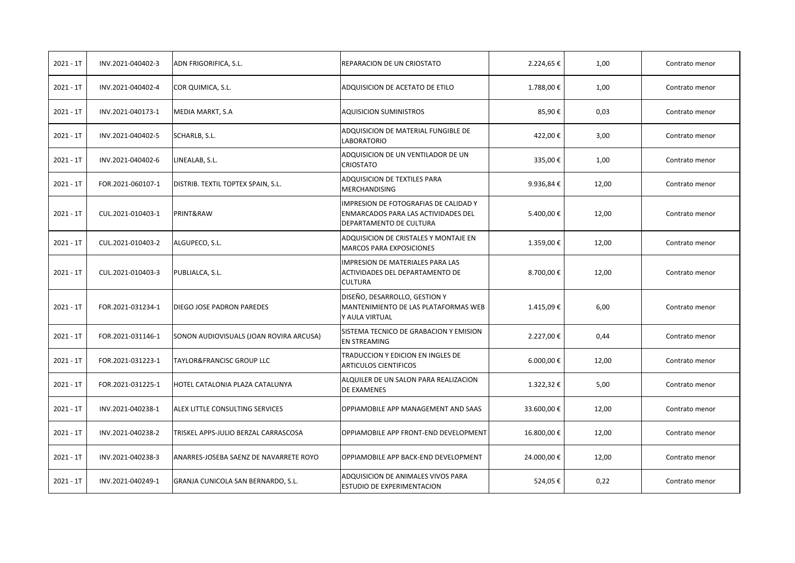| $2021 - 1T$ | INV.2021-040402-3 | ADN FRIGORIFICA, S.L.                   | REPARACION DE UN CRIOSTATO                                                                                     | 2.224,65€      | 1,00  | Contrato menor |
|-------------|-------------------|-----------------------------------------|----------------------------------------------------------------------------------------------------------------|----------------|-------|----------------|
| $2021 - 1T$ | INV.2021-040402-4 | COR QUIMICA, S.L.                       | ADQUISICION DE ACETATO DE ETILO                                                                                | 1.788,00€      | 1,00  | Contrato menor |
| $2021 - 1T$ | INV.2021-040173-1 | MEDIA MARKT, S.A                        | <b>AQUISICION SUMINISTROS</b>                                                                                  | 85,90€         | 0,03  | Contrato menor |
| $2021 - 1T$ | INV.2021-040402-5 | SCHARLB, S.L.                           | ADQUISICION DE MATERIAL FUNGIBLE DE<br>LABORATORIO                                                             | 422,00€        | 3,00  | Contrato menor |
| $2021 - 1T$ | INV.2021-040402-6 | LINEALAB, S.L.                          | ADQUISICION DE UN VENTILADOR DE UN<br><b>CRIOSTATO</b>                                                         | 335,00€        | 1,00  | Contrato menor |
| $2021 - 1T$ | FOR.2021-060107-1 | DISTRIB. TEXTIL TOPTEX SPAIN, S.L.      | ADQUISICION DE TEXTILES PARA<br>MERCHANDISING                                                                  | 9.936,84€      | 12,00 | Contrato menor |
| $2021 - 1T$ | CUL.2021-010403-1 | PRINT&RAW                               | <b>IMPRESION DE FOTOGRAFIAS DE CALIDAD Y</b><br>ENMARCADOS PARA LAS ACTIVIDADES DEL<br>DEPARTAMENTO DE CULTURA | 5.400,00€      | 12,00 | Contrato menor |
| $2021 - 1T$ | CUL.2021-010403-2 | ALGUPECO, S.L.                          | ADQUISICION DE CRISTALES Y MONTAJE EN<br>MARCOS PARA EXPOSICIONES                                              | 1.359,00€      | 12,00 | Contrato menor |
| $2021 - 1T$ | CUL.2021-010403-3 | PUBLIALCA, S.L.                         | <b>IMPRESION DE MATERIALES PARA LAS</b><br>ACTIVIDADES DEL DEPARTAMENTO DE<br><b>CULTURA</b>                   | 8.700,00€      | 12,00 | Contrato menor |
| $2021 - 1T$ | FOR.2021-031234-1 | DIEGO JOSE PADRON PAREDES               | DISEÑO, DESARROLLO, GESTION Y<br>MANTENIMIENTO DE LAS PLATAFORMAS WEB<br>Y AULA VIRTUAL                        | 1.415,09€      | 6,00  | Contrato menor |
| $2021 - 1T$ | FOR.2021-031146-1 | SONON AUDIOVISUALS (JOAN ROVIRA ARCUSA) | SISTEMA TECNICO DE GRABACION Y EMISION<br><b>EN STREAMING</b>                                                  | 2.227,00€      | 0,44  | Contrato menor |
| $2021 - 1T$ | FOR.2021-031223-1 | TAYLOR&FRANCISC GROUP LLC               | TRADUCCION Y EDICION EN INGLES DE<br>ARTICULOS CIENTIFICOS                                                     | $6.000,00 \in$ | 12,00 | Contrato menor |
| $2021 - 1T$ | FOR.2021-031225-1 | HOTEL CATALONIA PLAZA CATALUNYA         | ALQUILER DE UN SALON PARA REALIZACION<br>DE EXAMENES                                                           | 1.322,32€      | 5,00  | Contrato menor |
| $2021 - 1T$ | INV.2021-040238-1 | ALEX LITTLE CONSULTING SERVICES         | OPPIAMOBILE APP MANAGEMENT AND SAAS                                                                            | 33.600,00€     | 12,00 | Contrato menor |
| $2021 - 1T$ | INV.2021-040238-2 | TRISKEL APPS-JULIO BERZAL CARRASCOSA    | OPPIAMOBILE APP FRONT-END DEVELOPMENT                                                                          | 16.800,00€     | 12,00 | Contrato menor |
| $2021 - 1T$ | INV.2021-040238-3 | ANARRES-JOSEBA SAENZ DE NAVARRETE ROYO  | OPPIAMOBILE APP BACK-END DEVELOPMENT                                                                           | 24.000,00€     | 12,00 | Contrato menor |
| $2021 - 1T$ | INV.2021-040249-1 | GRANJA CUNICOLA SAN BERNARDO, S.L.      | ADQUISICION DE ANIMALES VIVOS PARA<br>ESTUDIO DE EXPERIMENTACION                                               | 524,05€        | 0,22  | Contrato menor |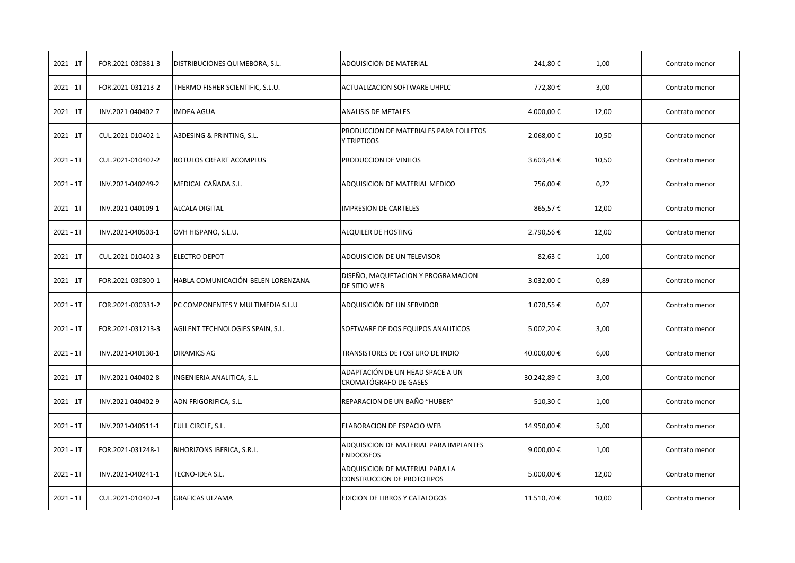| $2021 - 1T$ | FOR.2021-030381-3 | DISTRIBUCIONES QUIMEBORA, S.L.     | <b>ADQUISICION DE MATERIAL</b>                                       | 241,80€    | 1,00  | Contrato menor |
|-------------|-------------------|------------------------------------|----------------------------------------------------------------------|------------|-------|----------------|
| $2021 - 1T$ | FOR.2021-031213-2 | THERMO FISHER SCIENTIFIC, S.L.U.   | <b>ACTUALIZACION SOFTWARE UHPLC</b>                                  | 772,80€    | 3,00  | Contrato menor |
| $2021 - 1T$ | INV.2021-040402-7 | <b>IMDEA AGUA</b>                  | <b>ANALISIS DE METALES</b>                                           | 4.000,00€  | 12,00 | Contrato menor |
| $2021 - 1T$ | CUL.2021-010402-1 | A3DESING & PRINTING, S.L.          | PRODUCCION DE MATERIALES PARA FOLLETOS<br>Y TRIPTICOS                | 2.068,00€  | 10,50 | Contrato menor |
| $2021 - 1T$ | CUL.2021-010402-2 | ROTULOS CREART ACOMPLUS            | PRODUCCION DE VINILOS                                                | 3.603,43€  | 10,50 | Contrato menor |
| $2021 - 1T$ | INV.2021-040249-2 | MEDICAL CAÑADA S.L.                | ADQUISICION DE MATERIAL MEDICO                                       | 756,00€    | 0,22  | Contrato menor |
| $2021 - 1T$ | INV.2021-040109-1 | <b>ALCALA DIGITAL</b>              | <b>IMPRESION DE CARTELES</b>                                         | 865,57€    | 12,00 | Contrato menor |
| $2021 - 1T$ | INV.2021-040503-1 | OVH HISPANO, S.L.U.                | ALQUILER DE HOSTING                                                  | 2.790,56€  | 12,00 | Contrato menor |
| $2021 - 1T$ | CUL.2021-010402-3 | <b>ELECTRO DEPOT</b>               | ADQUISICION DE UN TELEVISOR                                          | 82,63€     | 1,00  | Contrato menor |
| $2021 - 1T$ | FOR.2021-030300-1 | HABLA COMUNICACIÓN-BELEN LORENZANA | DISEÑO, MAQUETACION Y PROGRAMACION<br>DE SITIO WEB                   | 3.032,00€  | 0,89  | Contrato menor |
| $2021 - 1T$ | FOR.2021-030331-2 | PC COMPONENTES Y MULTIMEDIA S.L.U  | ADQUISICIÓN DE UN SERVIDOR                                           | 1.070,55€  | 0,07  | Contrato menor |
| $2021 - 1T$ | FOR.2021-031213-3 | AGILENT TECHNOLOGIES SPAIN, S.L.   | SOFTWARE DE DOS EQUIPOS ANALITICOS                                   | 5.002,20€  | 3,00  | Contrato menor |
| $2021 - 1T$ | INV.2021-040130-1 | <b>DIRAMICS AG</b>                 | TRANSISTORES DE FOSFURO DE INDIO                                     | 40.000,00€ | 6,00  | Contrato menor |
| $2021 - 1T$ | INV.2021-040402-8 | INGENIERIA ANALITICA, S.L.         | ADAPTACIÓN DE UN HEAD SPACE A UN<br>CROMATÓGRAFO DE GASES            | 30.242,89€ | 3,00  | Contrato menor |
| $2021 - 1T$ | INV.2021-040402-9 | ADN FRIGORIFICA, S.L.              | REPARACION DE UN BAÑO "HUBER"                                        | 510,30€    | 1,00  | Contrato menor |
| $2021 - 1T$ | INV.2021-040511-1 | FULL CIRCLE, S.L.                  | ELABORACION DE ESPACIO WEB                                           | 14.950,00€ | 5,00  | Contrato menor |
| $2021 - 1T$ | FOR.2021-031248-1 | BIHORIZONS IBERICA, S.R.L.         | ADQUISICION DE MATERIAL PARA IMPLANTES<br><b>ENDOOSEOS</b>           | 9.000,00€  | 1,00  | Contrato menor |
| $2021 - 1T$ | INV.2021-040241-1 | TECNO-IDEA S.L.                    | ADQUISICION DE MATERIAL PARA LA<br><b>CONSTRUCCION DE PROTOTIPOS</b> | 5.000,00€  | 12,00 | Contrato menor |
| $2021 - 1T$ | CUL.2021-010402-4 | <b>GRAFICAS ULZAMA</b>             | <b>EDICION DE LIBROS Y CATALOGOS</b>                                 | 11.510,70€ | 10,00 | Contrato menor |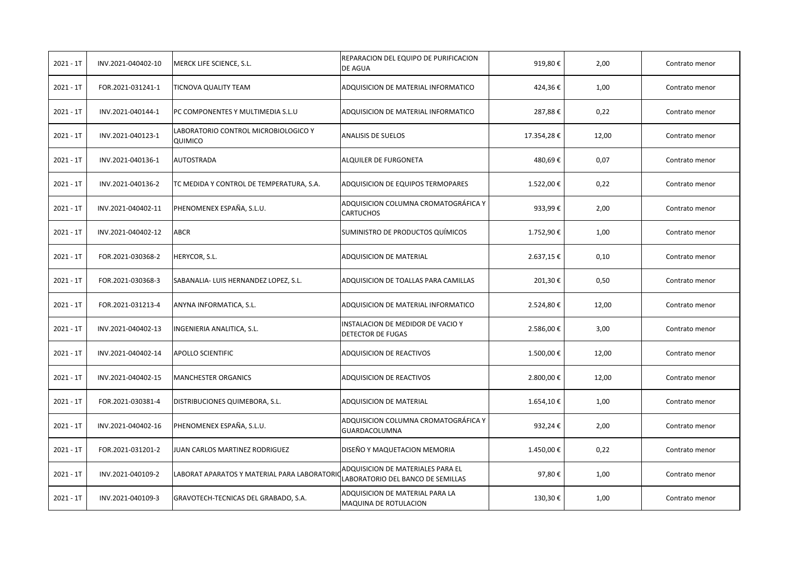| $2021 - 1T$ | INV.2021-040402-10 | MERCK LIFE SCIENCE, S.L.                        | REPARACION DEL EQUIPO DE PURIFICACION<br><b>DE AGUA</b>                | 919,80€    | 2,00  | Contrato menor |
|-------------|--------------------|-------------------------------------------------|------------------------------------------------------------------------|------------|-------|----------------|
| $2021 - 1T$ | FOR.2021-031241-1  | TICNOVA QUALITY TEAM                            | ADQUISICION DE MATERIAL INFORMATICO                                    | 424,36€    | 1,00  | Contrato menor |
| $2021 - 1T$ | INV.2021-040144-1  | PC COMPONENTES Y MULTIMEDIA S.L.U               | ADQUISICION DE MATERIAL INFORMATICO                                    | 287,88€    | 0,22  | Contrato menor |
| $2021 - 1T$ | INV.2021-040123-1  | LABORATORIO CONTROL MICROBIOLOGICO Y<br>QUIMICO | <b>ANALISIS DE SUELOS</b>                                              | 17.354,28€ | 12,00 | Contrato menor |
| $2021 - 1T$ | INV.2021-040136-1  | <b>AUTOSTRADA</b>                               | ALQUILER DE FURGONETA                                                  | 480,69€    | 0,07  | Contrato menor |
| $2021 - 1T$ | INV.2021-040136-2  | TC MEDIDA Y CONTROL DE TEMPERATURA, S.A.        | <b>ADQUISICION DE EQUIPOS TERMOPARES</b>                               | 1.522,00€  | 0,22  | Contrato menor |
| $2021 - 1T$ | INV.2021-040402-11 | PHENOMENEX ESPAÑA, S.L.U.                       | ADQUISICION COLUMNA CROMATOGRÁFICA Y<br><b>CARTUCHOS</b>               | 933,99€    | 2,00  | Contrato menor |
| $2021 - 1T$ | INV.2021-040402-12 | ABCR                                            | SUMINISTRO DE PRODUCTOS QUÍMICOS                                       | 1.752,90€  | 1,00  | Contrato menor |
| $2021 - 1T$ | FOR.2021-030368-2  | HERYCOR, S.L.                                   | <b>ADQUISICION DE MATERIAL</b>                                         | 2.637,15€  | 0,10  | Contrato menor |
| $2021 - 1T$ | FOR.2021-030368-3  | SABANALIA- LUIS HERNANDEZ LOPEZ, S.L.           | ADQUISICION DE TOALLAS PARA CAMILLAS                                   | 201,30€    | 0,50  | Contrato menor |
| $2021 - 1T$ | FOR.2021-031213-4  | ANYNA INFORMATICA, S.L.                         | ADQUISICION DE MATERIAL INFORMATICO                                    | 2.524,80€  | 12,00 | Contrato menor |
| $2021 - 1T$ | INV.2021-040402-13 | INGENIERIA ANALITICA, S.L.                      | INSTALACION DE MEDIDOR DE VACIO Y<br><b>DETECTOR DE FUGAS</b>          | 2.586,00€  | 3,00  | Contrato menor |
| $2021 - 1T$ | INV.2021-040402-14 | APOLLO SCIENTIFIC                               | ADQUISICION DE REACTIVOS                                               | 1.500,00€  | 12,00 | Contrato menor |
| $2021 - 1T$ | INV.2021-040402-15 | <b>MANCHESTER ORGANICS</b>                      | ADQUISICION DE REACTIVOS                                               | 2.800,00 € | 12,00 | Contrato menor |
| $2021 - 1T$ | FOR.2021-030381-4  | DISTRIBUCIONES QUIMEBORA, S.L.                  | ADQUISICION DE MATERIAL                                                | 1.654,10€  | 1,00  | Contrato menor |
| $2021 - 1T$ | INV.2021-040402-16 | PHENOMENEX ESPAÑA, S.L.U.                       | ADQUISICION COLUMNA CROMATOGRÁFICA Y<br>GUARDACOLUMNA                  | 932,24€    | 2,00  | Contrato menor |
| $2021 - 1T$ | FOR.2021-031201-2  | JUAN CARLOS MARTINEZ RODRIGUEZ                  | DISEÑO Y MAQUETACION MEMORIA                                           | 1.450,00€  | 0,22  | Contrato menor |
| $2021 - 1T$ | INV.2021-040109-2  | LABORAT APARATOS Y MATERIAL PARA LABORATORIO    | ADQUISICION DE MATERIALES PARA EL<br>LABORATORIO DEL BANCO DE SEMILLAS | 97,80€     | 1,00  | Contrato menor |
| $2021 - 1T$ | INV.2021-040109-3  | GRAVOTECH-TECNICAS DEL GRABADO, S.A.            | ADQUISICION DE MATERIAL PARA LA<br><b>MAQUINA DE ROTULACION</b>        | 130,30€    | 1,00  | Contrato menor |